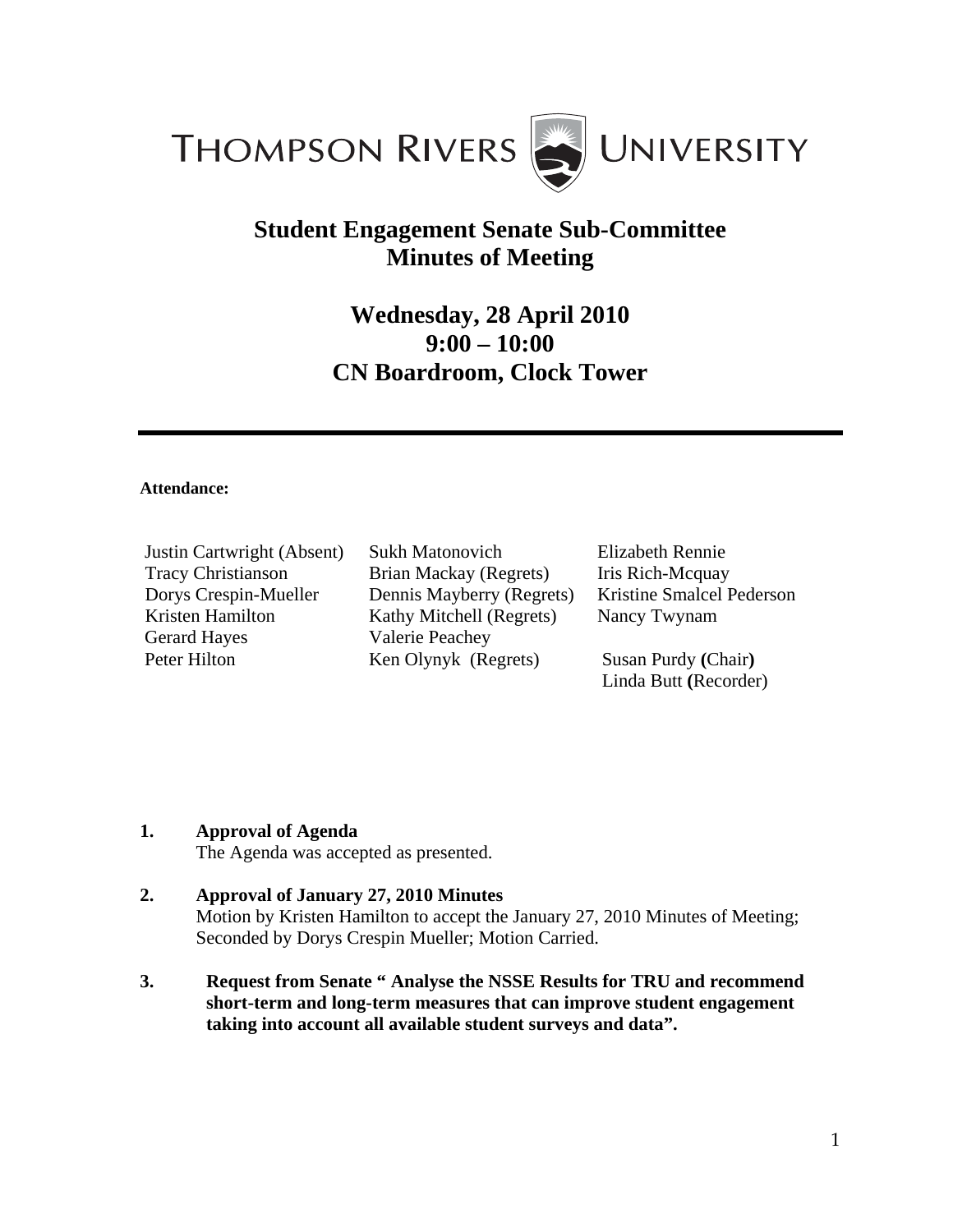

## **Student Engagement Senate Sub-Committee Minutes of Meeting**

# **Wednesday, 28 April 2010 9:00 – 10:00 CN Boardroom, Clock Tower**

#### **Attendance:**

| Justin Cartwright (Absent) |
|----------------------------|
| <b>Tracy Christianson</b>  |
| Dorys Crespin-Mueller      |
| Kristen Hamilton           |
| <b>Gerard Hayes</b>        |
| Peter Hilton               |

Sukh Matonovich Brian Mackay (Regrets) Dennis Mayberry (Regrets) Kathy Mitchell (Regrets) Valerie Peachey Ken Olynyk (Regrets)

Elizabeth Rennie Iris Rich-Mcquay Kristine Smalcel Pederson Nancy Twynam

Susan Purdy **(**Chair**)**  Linda Butt **(**Recorder)

## **1. Approval of Agenda**

The Agenda was accepted as presented.

- **2. Approval of January 27, 2010 Minutes**  Motion by Kristen Hamilton to accept the January 27, 2010 Minutes of Meeting; Seconded by Dorys Crespin Mueller; Motion Carried.
- **3. Request from Senate " Analyse the NSSE Results for TRU and recommend short-term and long-term measures that can improve student engagement taking into account all available student surveys and data".**